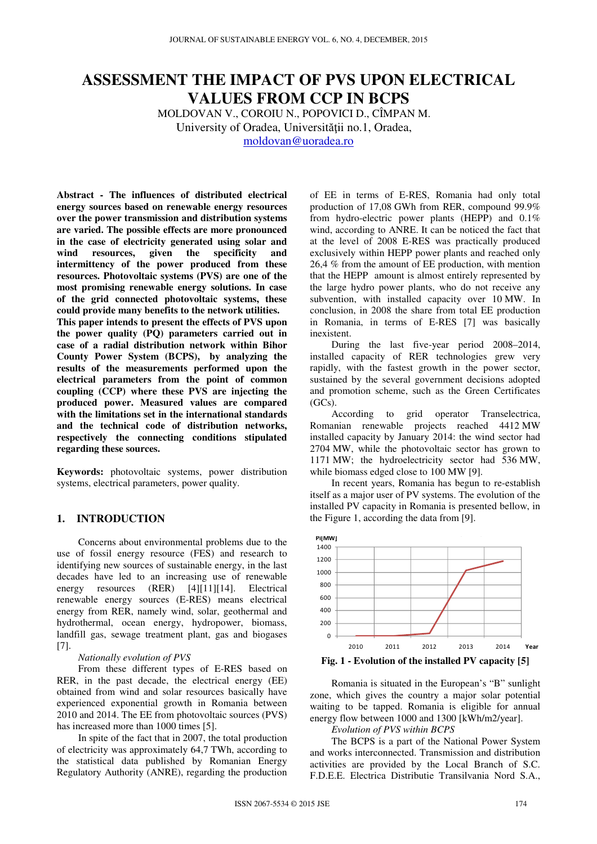# **ASSESSMENT THE IMPACT OF PVS UPON ELECTRICAL VALUES FROM CCP IN BCPS**

MOLDOVAN V., COROIU N., POPOVICI D., CÎMPAN M. University of Oradea, Universității no.1, Oradea,

moldovan@uoradea.ro

**Abstract - The influences of distributed electrical energy sources based on renewable energy resources over the power transmission and distribution systems are varied. The possible effects are more pronounced in the case of electricity generated using solar and wind resources, given the specificity and intermittency of the power produced from these resources. Photovoltaic systems (PVS) are one of the most promising renewable energy solutions. In case of the grid connected photovoltaic systems, these could provide many benefits to the network utilities.** 

**This paper intends to present the effects of PVS upon the power quality (PQ) parameters carried out in case of a radial distribution network within Bihor County Power System (BCPS), by analyzing the results of the measurements performed upon the electrical parameters from the point of common coupling (CCP) where these PVS are injecting the produced power. Measured values are compared with the limitations set in the international standards and the technical code of distribution networks, respectively the connecting conditions stipulated regarding these sources.** 

**Keywords:** photovoltaic systems, power distribution systems, electrical parameters, power quality.

## **1. INTRODUCTION**

Concerns about environmental problems due to the use of fossil energy resource (FES) and research to identifying new sources of sustainable energy, in the last decades have led to an increasing use of renewable energy resources (RER) [4][11][14]. Electrical renewable energy sources (E-RES) means electrical energy from RER, namely wind, solar, geothermal and hydrothermal, ocean energy, hydropower, biomass, landfill gas, sewage treatment plant, gas and biogases [7].

#### *Nationally evolution of PVS*

From these different types of E-RES based on RER, in the past decade, the electrical energy (EE) obtained from wind and solar resources basically have experienced exponential growth in Romania between 2010 and 2014. The EE from photovoltaic sources (PVS) has increased more than 1000 times [5].

In spite of the fact that in 2007, the total production of electricity was approximately 64,7 TWh, according to the statistical data published by Romanian Energy Regulatory Authority (ANRE), regarding the production of EE in terms of E-RES, Romania had only total production of 17,08 GWh from RER, compound 99.9% from hydro-electric power plants (HEPP) and 0.1% wind, according to ANRE. It can be noticed the fact that at the level of 2008 E-RES was practically produced exclusively within HEPP power plants and reached only 26,4 % from the amount of EE production, with mention that the HEPP amount is almost entirely represented by the large hydro power plants, who do not receive any subvention, with installed capacity over 10 MW. In conclusion, in 2008 the share from total EE production in Romania, in terms of E-RES [7] was basically inexistent.

During the last five-year period 2008–2014, installed capacity of RER technologies grew very rapidly, with the fastest growth in the power sector, sustained by the several government decisions adopted and promotion scheme, such as the Green Certificates  $(GCs)$ .

According to grid operator Transelectrica, Romanian renewable projects reached 4412 MW installed capacity by January 2014: the wind sector had 2704 MW, while the photovoltaic sector has grown to 1171 MW; the hydroelectricity sector had 536 MW, while biomass edged close to 100 MW [9].

In recent years, Romania has begun to re-establish itself as a major user of PV systems. The evolution of the installed PV capacity in Romania is presented bellow, in the Figure 1, according the data from [9].



**Fig. 1 - Evolution of the installed PV capacity [5]**

Romania is situated in the European's "B" sunlight zone, which gives the country a major solar potential waiting to be tapped. Romania is eligible for annual energy flow between 1000 and 1300 [kWh/m2/year].

*Evolution of PVS within BCPS* 

The BCPS is a part of the National Power System and works interconnected. Transmission and distribution activities are provided by the Local Branch of S.C. F.D.E.E. Electrica Distributie Transilvania Nord S.A.,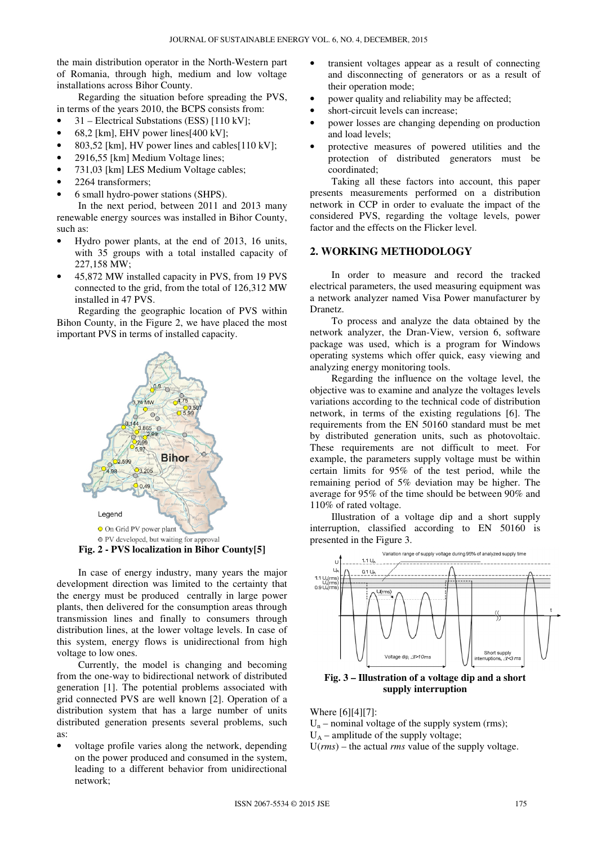the main distribution operator in the North-Western part of Romania, through high, medium and low voltage installations across Bihor County.

Regarding the situation before spreading the PVS, in terms of the years 2010, the BCPS consists from:

- 31 Electrical Substations (ESS) [110 kV];
- 68,2 [km], EHV power lines[400 kV];
- 803,52 [km], HV power lines and cables[110 kV];
- 2916,55 [km] Medium Voltage lines;
- 731,03 [km] LES Medium Voltage cables;
- 2264 transformers;
- 6 small hydro-power stations (SHPS).

In the next period, between 2011 and 2013 many renewable energy sources was installed in Bihor County, such as:

- Hydro power plants, at the end of 2013, 16 units, with 35 groups with a total installed capacity of 227,158 MW;
- 45,872 MW installed capacity in PVS, from 19 PVS connected to the grid, from the total of 126,312 MW installed in 47 PVS.

Regarding the geographic location of PVS within Bihon County, in the Figure 2, we have placed the most important PVS in terms of installed capacity.



**Fig. 2 - PVS localization in Bihor County[5]** 

In case of energy industry, many years the major development direction was limited to the certainty that the energy must be produced centrally in large power plants, then delivered for the consumption areas through transmission lines and finally to consumers through distribution lines, at the lower voltage levels. In case of this system, energy flows is unidirectional from high voltage to low ones.

Currently, the model is changing and becoming from the one-way to bidirectional network of distributed generation [1]. The potential problems associated with grid connected PVS are well known [2]. Operation of a distribution system that has a large number of units distributed generation presents several problems, such as:

• voltage profile varies along the network, depending on the power produced and consumed in the system, leading to a different behavior from unidirectional network;

- transient voltages appear as a result of connecting and disconnecting of generators or as a result of their operation mode;
- power quality and reliability may be affected;
- short-circuit levels can increase;
- power losses are changing depending on production and load levels;
- protective measures of powered utilities and the protection of distributed generators must be coordinated;

Taking all these factors into account, this paper presents measurements performed on a distribution network in CCP in order to evaluate the impact of the considered PVS, regarding the voltage levels, power factor and the effects on the Flicker level.

# **2. WORKING METHODOLOGY**

In order to measure and record the tracked electrical parameters, the used measuring equipment was a network analyzer named Visa Power manufacturer by Dranetz.

To process and analyze the data obtained by the network analyzer, the Dran-View, version 6, software package was used, which is a program for Windows operating systems which offer quick, easy viewing and analyzing energy monitoring tools.

Regarding the influence on the voltage level, the objective was to examine and analyze the voltages levels variations according to the technical code of distribution network, in terms of the existing regulations [6]. The requirements from the EN 50160 standard must be met by distributed generation units, such as photovoltaic. These requirements are not difficult to meet. For example, the parameters supply voltage must be within certain limits for 95% of the test period, while the remaining period of 5% deviation may be higher. The average for 95% of the time should be between 90% and 110% of rated voltage.

Illustration of a voltage dip and a short supply interruption, classified according to EN 50160 is presented in the Figure 3.



**Fig. 3 – Illustration of a voltage dip and a short supply interruption** 

Where [6][4][7]:

 $U_n$  – nominal voltage of the supply system (rms);

 $U_A$  – amplitude of the supply voltage;

U(*rms*) – the actual *rms* value of the supply voltage.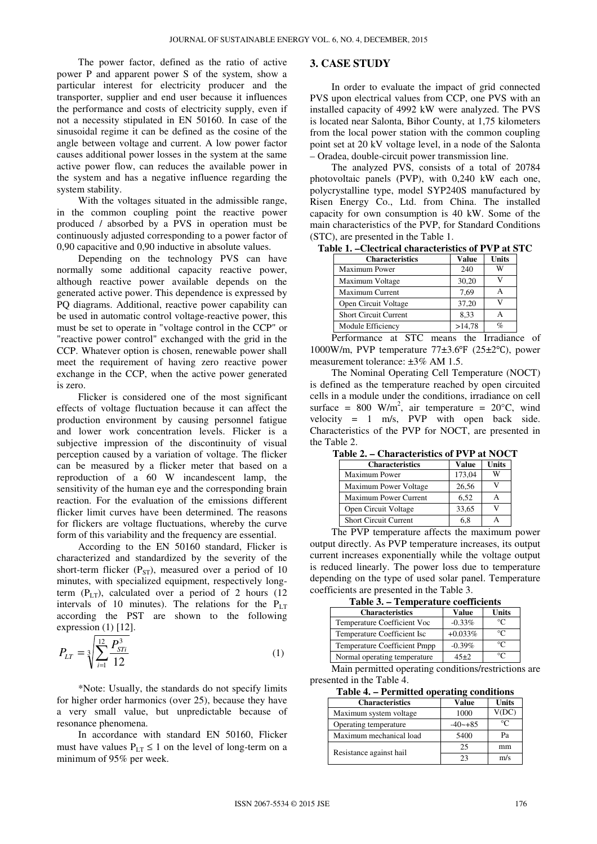The power factor, defined as the ratio of active power P and apparent power S of the system, show a particular interest for electricity producer and the transporter, supplier and end user because it influences the performance and costs of electricity supply, even if not a necessity stipulated in EN 50160. In case of the sinusoidal regime it can be defined as the cosine of the angle between voltage and current. A low power factor causes additional power losses in the system at the same active power flow, can reduces the available power in the system and has a negative influence regarding the system stability.

With the voltages situated in the admissible range, in the common coupling point the reactive power produced / absorbed by a PVS in operation must be continuously adjusted corresponding to a power factor of 0,90 capacitive and 0,90 inductive in absolute values.

Depending on the technology PVS can have normally some additional capacity reactive power, although reactive power available depends on the generated active power. This dependence is expressed by PQ diagrams. Additional, reactive power capability can be used in automatic control voltage-reactive power, this must be set to operate in "voltage control in the CCP" or "reactive power control" exchanged with the grid in the CCP. Whatever option is chosen, renewable power shall meet the requirement of having zero reactive power exchange in the CCP, when the active power generated is zero.

Flicker is considered one of the most significant effects of voltage fluctuation because it can affect the production environment by causing personnel fatigue and lower work concentration levels. Flicker is a subjective impression of the discontinuity of visual perception caused by a variation of voltage. The flicker can be measured by a flicker meter that based on a reproduction of a 60 W incandescent lamp, the sensitivity of the human eye and the corresponding brain reaction. For the evaluation of the emissions different flicker limit curves have been determined. The reasons for flickers are voltage fluctuations, whereby the curve form of this variability and the frequency are essential.

According to the EN 50160 standard, Flicker is characterized and standardized by the severity of the short-term flicker ( $P_{ST}$ ), measured over a period of 10 minutes, with specialized equipment, respectively longterm  $(P_{LT})$ , calculated over a period of 2 hours (12 intervals of 10 minutes). The relations for the  $P_{LT}$ according the PST are shown to the following expression (1) [12].

$$
P_{LT} = \sqrt[3]{\sum_{i=1}^{12} \frac{P_{STi}^3}{12}}
$$
 (1)

\*Note: Usually, the standards do not specify limits for higher order harmonics (over 25), because they have a very small value, but unpredictable because of resonance phenomena.

In accordance with standard EN 50160, Flicker must have values  $P_{LT} \le 1$  on the level of long-term on a minimum of 95% per week.

# **3. CASE STUDY**

In order to evaluate the impact of grid connected PVS upon electrical values from CCP, one PVS with an installed capacity of 4992 kW were analyzed. The PVS is located near Salonta, Bihor County, at 1,75 kilometers from the local power station with the common coupling point set at 20 kV voltage level, in a node of the Salonta – Oradea, double-circuit power transmission line.

The analyzed PVS, consists of a total of 20784 photovoltaic panels (PVP), with 0,240 kW each one, polycrystalline type, model SYP240S manufactured by Risen Energy Co., Ltd. from China. The installed capacity for own consumption is 40 kW. Some of the main characteristics of the PVP, for Standard Conditions (STC), are presented in the Table 1.

| <b>Characteristics</b>       | <b>Value</b> | <b>Units</b> |
|------------------------------|--------------|--------------|
| Maximum Power                | 240          | w            |
| Maximum Voltage              | 30,20        |              |
| Maximum Current              | 7.69         |              |
| Open Circuit Voltage         | 37,20        |              |
| <b>Short Circuit Current</b> | 8.33         |              |
| Module Efficiency            | >14,78       | %            |

**Table 1. –Clectrical characteristics of PVP at STC** 

Performance at STC means the Irradiance of 1000W/m, PVP temperature 77±3.6℉ (25±2℃), power measurement tolerance: ±3% AM 1.5.

The Nominal Operating Cell Temperature (NOCT) is defined as the temperature reached by open circuited cells in a module under the conditions, irradiance on cell surface = 800 W/m<sup>2</sup>, air temperature =  $20^{\circ}$ C, wind velocity  $= 1$  m/s, PVP with open back side. Characteristics of the PVP for NOCT, are presented in the Table 2.

**Table 2. – Characteristics of PVP at NOCT** 

| <b>Characteristics</b>       | <b>Value</b> | <b>Units</b> |  |
|------------------------------|--------------|--------------|--|
| <b>Maximum Power</b>         | 173,04       | W            |  |
| Maximum Power Voltage        | 26,56        |              |  |
| Maximum Power Current        | 6,52         |              |  |
| Open Circuit Voltage         | 33,65        |              |  |
| <b>Short Circuit Current</b> | 6.8          |              |  |
| $\sim$                       |              |              |  |

The PVP temperature affects the maximum power output directly. As PVP temperature increases, its output current increases exponentially while the voltage output is reduced linearly. The power loss due to temperature depending on the type of used solar panel. Temperature coefficients are presented in the Table 3.

**Table 3. – Temperature coefficients** 

| <b>Characteristics</b>              | Value     | Units |  |  |
|-------------------------------------|-----------|-------|--|--|
| Temperature Coefficient Voc         | $-0.33%$  |       |  |  |
| Temperature Coefficient Isc         | $+0.033%$ | ി∘    |  |  |
| <b>Temperature Coefficient Pmpp</b> | $-0.39%$  | ℃     |  |  |
| Normal operating temperature        | $45+2$    |       |  |  |

Main permitted operating conditions/restrictions are presented in the Table 4.

| Table 4. – Permitted operating conditions |  |  |
|-------------------------------------------|--|--|
|-------------------------------------------|--|--|

| <b>Characteristics</b>  | <b>Value</b> | <b>Units</b> |  |
|-------------------------|--------------|--------------|--|
| Maximum system voltage  | 1000         | V(DC)        |  |
| Operating temperature   | $-40 - +85$  | $\Gamma$     |  |
| Maximum mechanical load | 5400         | Pа           |  |
|                         | 25           | mm           |  |
| Resistance against hail | າາ           | m/s          |  |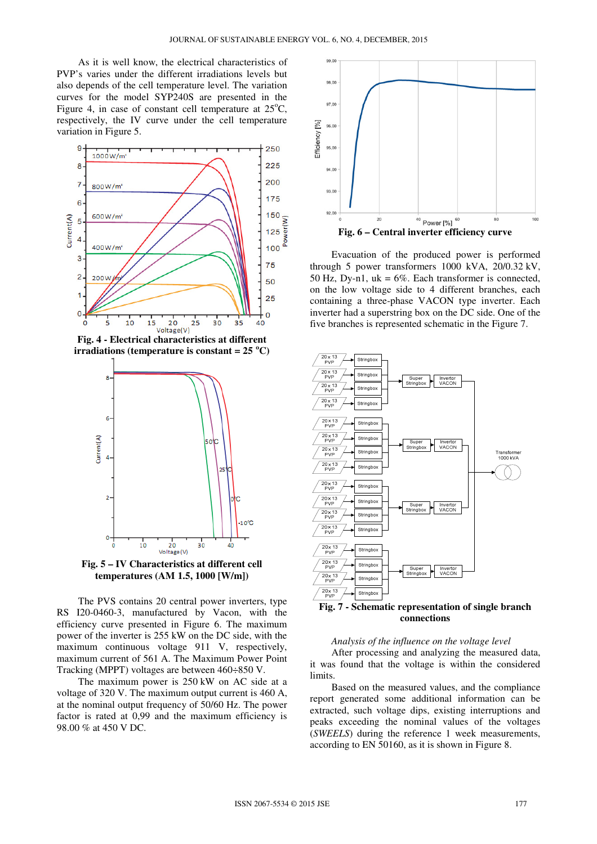As it is well know, the electrical characteristics of PVP's varies under the different irradiations levels but also depends of the cell temperature level. The variation curves for the model SYP240S are presented in the Figure 4, in case of constant cell temperature at  $25^{\circ}$ C, respectively, the IV curve under the cell temperature variation in Figure 5.



**Fig. 4 - Electrical characteristics at different irradiations (temperature is constant = 25**  $^{\circ}$ **C)** 



**Fig. 5 – IV Characteristics at different cell temperatures (AM 1.5, 1000 [W/m])** 

The PVS contains 20 central power inverters, type RS I20-0460-3, manufactured by Vacon, with the efficiency curve presented in Figure 6. The maximum power of the inverter is 255 kW on the DC side, with the maximum continuous voltage 911 V, respectively, maximum current of 561 A. The Maximum Power Point Tracking (MPPT) voltages are between 460÷850 V.

The maximum power is 250 kW on AC side at a voltage of 320 V. The maximum output current is 460 A, at the nominal output frequency of 50/60 Hz. The power factor is rated at 0,99 and the maximum efficiency is 98.00 % at 450 V DC.



Evacuation of the produced power is performed through 5 power transformers 1000 kVA, 20/0.32 kV, 50 Hz, Dy-n1,  $uk = 6\%$ . Each transformer is connected, on the low voltage side to 4 different branches, each containing a three-phase VACON type inverter. Each inverter had a superstring box on the DC side. One of the five branches is represented schematic in the Figure 7.



**Fig. 7 - Schematic representation of single branch connections** 

#### *Analysis of the influence on the voltage level*

After processing and analyzing the measured data, it was found that the voltage is within the considered limits.

Based on the measured values, and the compliance report generated some additional information can be extracted, such voltage dips, existing interruptions and peaks exceeding the nominal values of the voltages (*SWEELS*) during the reference 1 week measurements, according to EN 50160, as it is shown in Figure 8.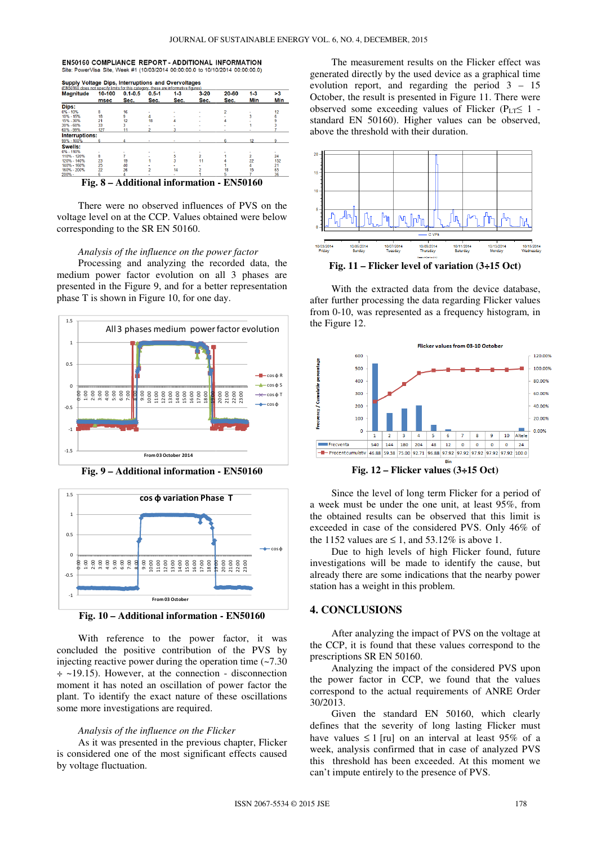EN50160 COMPLIANCE REPORT - ADDITIONAL INFORMATION Site: PowerVisa Site, Week #1 (10/03/2014 00:00:00.0 to 10/10/2014 00:00:00.0)

| <b>Magnitude</b> | 10-100<br>msec | $0.1 - 0.5$ | $0.5 - 1$<br>Sec. | $1-3$<br>Sec. | $3 - 20$<br>Sec. | 20-60<br>Sec. | $1 - 3$<br>Min | >3<br>Min |
|------------------|----------------|-------------|-------------------|---------------|------------------|---------------|----------------|-----------|
|                  |                | Sec.        |                   |               |                  |               |                |           |
| Dips:            |                |             |                   |               |                  |               |                |           |
| $0\% - 10\%$     | 8              | 16          |                   |               |                  | 2             |                | 12        |
| 10% - 15%        | 18             | 9           |                   |               |                  |               |                | 6         |
| 15% - 30%        | 21             | 12          | 18                |               |                  |               |                |           |
| 30% - 60%        | 33             |             |                   |               |                  |               |                |           |
| 60% - 99%        | 127            |             |                   |               |                  |               |                |           |
| Interruptions:   |                |             |                   |               |                  |               |                |           |
| 99% - 100%       |                |             |                   |               |                  |               |                |           |
| Swells:          |                |             |                   |               |                  |               |                |           |
| 0% - 110%        |                |             |                   |               |                  |               |                |           |
| 110% - 120%      | 8              |             |                   |               |                  |               | 2              | 24        |
| 120% - 140%      | 23             | 19          |                   |               | 11               |               | 22             | 152       |
| 140% - 160%      | 25             | 40          |                   |               |                  |               |                | 21        |
| 160% - 200%      | 22             | 26          |                   | 14            |                  | 18            | 15             | 65        |
| 200% -           | 6              |             |                   |               |                  | 5             |                | 36        |

**Fig. 8 – Additional information - EN50160** 

There were no observed influences of PVS on the voltage level on at the CCP. Values obtained were below corresponding to the SR EN 50160. ge level on at the CCP. Values obtained were below<br>sponding to the SR EN 50160.<br>*Analysis of the influence on the power factor*<br>Processing and analyzing the recorded data, the

#### *Analysis of the influence on the power factor*

medium power factor evolution on all 3 phases are presented in the Figure 9, and for a better representation phase T is shown in Figure 10, for one day.



**Fig. 9 – Additional information - EN50160** 



**Fig. 10 – Additional information - EN50160** 

With reference to the power factor, it was concluded the positive contribution of the PVS by injecting reactive power during the operation time  $(-7.30)$  $\div$  ~19.15). However, at the connection - disconnection moment it has noted an oscillation of power factor the plant. To identify the exact nature of these oscillations some more investigations are required.

#### *Analysis of the influence on the Flicker*

As it was presented in the previous chapter, Flicker is considered one of the most significant effects caused by voltage fluctuation.

The measurement results on the Flicker effect was generated directly by the used device as a graphical time evolution report, and regarding the period 3 – 15 October, the result is presented in Figure 11. There were observed some exceeding values of Flicker ( $P_{LT} \leq 1$  standard EN 50160). Higher values can be observed, above the threshold with their duration.



**Fig. 11 – Flicker level of variation (3÷15 Oct)** 

With the extracted data from the device database, after further processing the data regarding Flicker values from 0-10, was represented as a frequency histogram, in the Figure 12.



**Fig. 12 – Flicker values (3÷15 Oct)** 

Since the level of long term Flicker for a period of a week must be under the one unit, at least 95%, from the obtained results can be observed that this limit is exceeded in case of the considered PVS. Only 46% of the 1152 values are  $\leq 1$ , and 53.12% is above 1.

Due to high levels of high Flicker found, future investigations will be made to identify the cause, but already there are some indications that the nearby power station has a weight in this problem.

### **4. CONCLUSIONS**

After analyzing the impact of PVS on the voltage at the CCP, it is found that these values correspond to the prescriptions SR EN 50160.

Analyzing the impact of the considered PVS upon the power factor in CCP, we found that the values correspond to the actual requirements of ANRE Order 30/2013.

Given the standard EN 50160, which clearly defines that the severity of long lasting Flicker must have values  $\leq 1$  [ru] on an interval at least 95% of a week, analysis confirmed that in case of this threshold has been exceeded. At this moment we can't impute entirely to the presence of PVS. , it is found that these values correspond to the<br>ions SR EN 50160.<br>alyzing the impact of the considered PVS upon<br>eer factor in CCP, we found that the values<br>nd to the actual requirements of ANRE Order<br>ven the standard EN